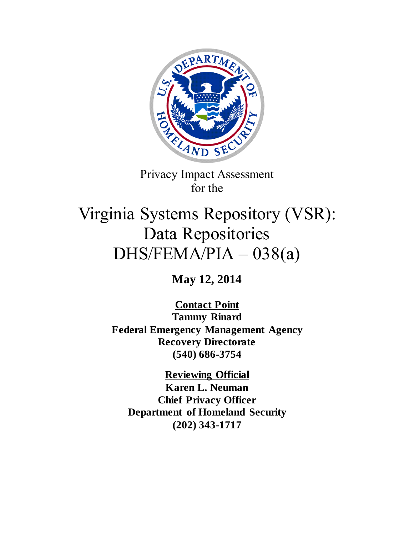

Privacy Impact Assessment for the

# Virginia Systems Repository (VSR): Data Repositories DHS/FEMA/PIA – 038(a)

**May 12, 2014**

**Contact Point Tammy Rinard Federal Emergency Management Agency Recovery Directorate (540) 686-3754**

**Reviewing Official Karen L. Neuman Chief Privacy Officer Department of Homeland Security (202) 343-1717**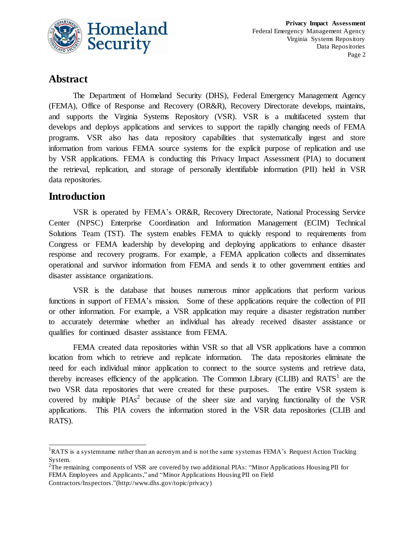

## **Abstract**

The Department of Homeland Security (DHS), Federal Emergency Management Agency (FEMA), Office of Response and Recovery (OR&R), Recovery Directorate develops, maintains, and supports the Virginia Systems Repository (VSR). VSR is a multifaceted system that develops and deploys applications and services to support the rapidly changing needs of FEMA programs. VSR also has data repository capabilities that systematically ingest and store information from various FEMA source systems for the explicit purpose of replication and use by VSR applications. FEMA is conducting this Privacy Impact Assessment (PIA) to document the retrieval, replication, and storage of personally identifiable information (PII) held in VSR data repositories.

## **Introduction**

l

VSR is operated by FEMA's OR&R, Recovery Directorate, National Processing Service Center (NPSC) Enterprise Coordination and Information Management (ECIM) Technical Solutions Team (TST). The system enables FEMA to quickly respond to requirements from Congress or FEMA leadership by developing and deploying applications to enhance disaster response and recovery programs. For example, a FEMA application collects and disseminates operational and survivor information from FEMA and sends it to other government entities and disaster assistance organizations.

VSR is the database that houses numerous minor applications that perform various functions in support of FEMA's mission. Some of these applications require the collection of PII or other information. For example, a VSR application may require a disaster registration number to accurately determine whether an individual has already received disaster assistance or qualifies for continued disaster assistance from FEMA.

FEMA created data repositories within VSR so that all VSR applications have a common location from which to retrieve and replicate information. The data repositories eliminate the need for each individual minor application to connect to the source systems and retrieve data, thereby increases efficiency of the application. The Common Library (CLIB) and  $RATS<sup>1</sup>$  are the two VSR data repositories that were created for these purposes. The entire VSR system is covered by multiple  $PIAs<sup>2</sup>$  because of the sheer size and varying functionality of the VSR applications. This PIA covers the information stored in the VSR data repositories (CLIB and RATS).

 ${}^{1}$ RATS is a system name rather than an acronym and is not the same system as FEMA's Request Action Tracking System.

<sup>&</sup>lt;sup>2</sup>The remaining components of VSR are covered by two additional PIAs: "Minor Applications Housing PII for FEMA Employees and Applicants," and "Minor Applications Housing PII on Field

Contractors/Inspectors."(http://www.dhs.gov/topic/privacy)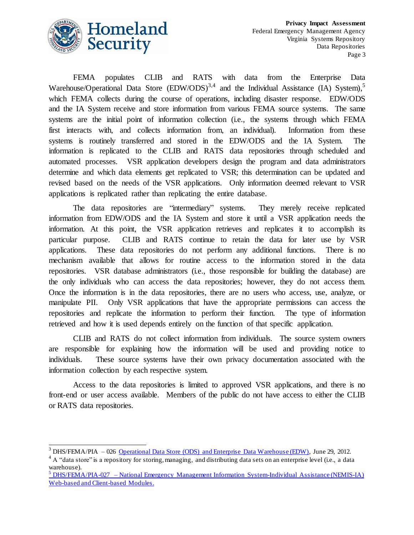

l

FEMA populates CLIB and RATS with data from the Enterprise Data Warehouse/Operational Data Store  $(EDW/ODS)^{3,4}$  and the Individual Assistance (IA) System),<sup>5</sup> which FEMA collects during the course of operations, including disaster response. EDW/ODS and the IA System receive and store information from various FEMA source systems. The same systems are the initial point of information collection (i.e., the systems through which FEMA first interacts with, and collects information from, an individual). Information from these systems is routinely transferred and stored in the EDW/ODS and the IA System. The information is replicated to the CLIB and RATS data repositories through scheduled and automated processes. VSR application developers design the program and data administrators determine and which data elements get replicated to VSR; this determination can be updated and revised based on the needs of the VSR applications. Only information deemed relevant to VSR applications is replicated rather than replicating the entire database.

The data repositories are "intermediary" systems. They merely receive replicated information from EDW/ODS and the IA System and store it until a VSR application needs the information. At this point, the VSR application retrieves and replicates it to accomplish its particular purpose. CLIB and RATS continue to retain the data for later use by VSR applications. These data repositories do not perform any additional functions. There is no mechanism available that allows for routine access to the information stored in the data repositories. VSR database administrators (i.e., those responsible for building the database) are the only individuals who can access the data repositories; however, they do not access them. Once the information is in the data repositories, there are no users who access, use, analyze, or manipulate PII. Only VSR applications that have the appropriate permissions can access the repositories and replicate the information to perform their function. The type of information retrieved and how it is used depends entirely on the function of that specific application.

CLIB and RATS do not collect information from individuals. The source system owners are responsible for explaining how the information will be used and providing notice to individuals. These source systems have their own privacy documentation associated with the information collection by each respective system.

Access to the data repositories is limited to approved VSR applications, and there is no front-end or user access available. Members of the public do not have access to either the CLIB or RATS data repositories.

<sup>&</sup>lt;sup>3</sup> DHS/FEMA/PIA – 026 [Operational Data Store \(ODS\) and Enterprise Data Warehouse \(EDW\),](http://www.dhs.gov/xlibrary/assets/privacy/privacy_pia_fema_ods_edw_20120629.pdf) June 29, 2012.

 $4 \text{ A}$  "data store" is a repository for storing, managing, and distributing data sets on an enterprise level (i.e., a data warehouse).

 $<sup>5</sup>$  DHS/FEMA/PIA-027 – National Emergency Management Information System-Individual Assistance (NEMIS-IA)</sup> [Web-based and Client-based Modules.](http://www.dhs.gov/xlibrary/assets/privacy/privacy_pia_fema_nemis_ia_20120629.pdf)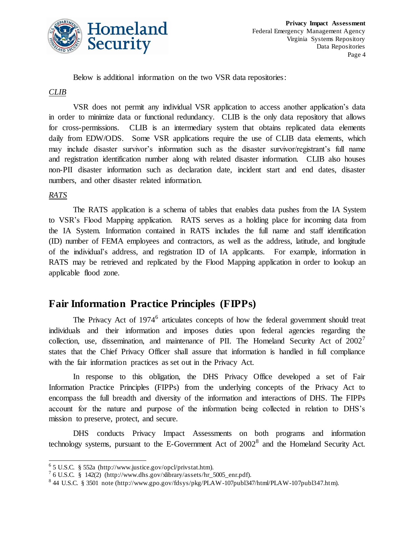

Below is additional information on the two VSR data repositories:

#### *CLIB*

VSR does not permit any individual VSR application to access another application's data in order to minimize data or functional redundancy. CLIB is the only data repository that allows for cross-permissions. CLIB is an intermediary system that obtains replicated data elements daily from EDW/ODS. Some VSR applications require the use of CLIB data elements, which may include disaster survivor's information such as the disaster survivor/registrant's full name and registration identification number along with related disaster information. CLIB also houses non-PII disaster information such as declaration date, incident start and end dates, disaster numbers, and other disaster related information.

#### *RATS*

l

The RATS application is a schema of tables that enables data pushes from the IA System to VSR's Flood Mapping application. RATS serves as a holding place for incoming data from the IA System. Information contained in RATS includes the full name and staff identification (ID) number of FEMA employees and contractors, as well as the address, latitude, and longitude of the individual's address, and registration ID of IA applicants. For example, information in RATS may be retrieved and replicated by the Flood Mapping application in order to lookup an applicable flood zone.

# **Fair Information Practice Principles (FIPPs)**

The Privacy Act of 1974<sup>6</sup> articulates concepts of how the federal government should treat individuals and their information and imposes duties upon federal agencies regarding the collection, use, dissemination, and maintenance of PII. The Homeland Security Act of  $2002'$ states that the Chief Privacy Officer shall assure that information is handled in full compliance with the fair information practices as set out in the Privacy Act.

In response to this obligation, the DHS Privacy Office developed a set of Fair Information Practice Principles (FIPPs) from the underlying concepts of the Privacy Act to encompass the full breadth and diversity of the information and interactions of DHS. The FIPPs account for the nature and purpose of the information being collected in relation to DHS's mission to preserve, protect, and secure.

DHS conducts Privacy Impact Assessments on both programs and information technology systems, pursuant to the E-Government Act of  $2002<sup>8</sup>$  and the Homeland Security Act.

 $65$  U.S.C. § 552a (http://www.justice.gov/opcl/privstat.htm).

 $^7$  6 U.S.C. § 142(2) (http://www.dhs.gov/xlibrary/assets/hr\_5005\_enr.pdf).

<sup>8</sup> 44 U.S.C. § 3501 note (http://www.gpo.gov/fdsys/pkg/PLAW-107publ347/html/PLAW-107publ347.htm).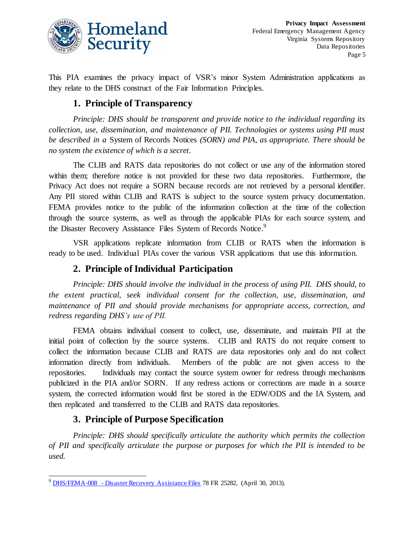

This PIA examines the privacy impact of VSR's minor System Administration applications as they relate to the DHS construct of the Fair Information Principles.

#### **1. Principle of Transparency**

*Principle: DHS should be transparent and provide notice to the individual regarding its collection, use, dissemination, and maintenance of PII. Technologies or systems using PII must be described in a* System of Records Notices *(SORN) and PIA, as appropriate. There should be no system the existence of which is a secret.*

The CLIB and RATS data repositories do not collect or use any of the information stored within them; therefore notice is not provided for these two data repositories. Furthermore, the Privacy Act does not require a SORN because records are not retrieved by a personal identifier. Any PII stored within CLIB and RATS is subject to the source system privacy documentation. FEMA provides notice to the public of the information collection at the time of the collection through the source systems, as well as through the applicable PIAs for each source system, and the Disaster Recovery Assistance Files System of Records Notice.<sup>9</sup>

VSR applications replicate information from CLIB or RATS when the information is ready to be used. Individual PIAs cover the various VSR applications that use this information.

#### **2. Principle of Individual Participation**

*Principle: DHS should involve the individual in the process of using PII. DHS should, to the extent practical, seek individual consent for the collection, use, dissemination, and maintenance of PII and should provide mechanisms for appropriate access, correction, and redress regarding DHS's use of PII.*

FEMA obtains individual consent to collect, use, disseminate, and maintain PII at the initial point of collection by the source systems. CLIB and RATS do not require consent to collect the information because CLIB and RATS are data repositories only and do not collect information directly from individuals. Members of the public are not given access to the repositories. Individuals may contact the source system owner for redress through mechanisms publicized in the PIA and/or SORN. If any redress actions or corrections are made in a source system, the corrected information would first be stored in the EDW/ODS and the IA System, and then replicated and transferred to the CLIB and RATS data repositories.

## **3. Principle of Purpose Specification**

l

*Principle: DHS should specifically articulate the authority which permits the collection of PII and specifically articulate the purpose or purposes for which the PII is intended to be used.*

<sup>9</sup> DHS/FEMA-008 - [Disaster Recovery Assistance Files](http://www.gpo.gov/fdsys/pkg/FR-2013-04-30/html/2013-10173.htm) 78 FR 25282, (April 30, 2013).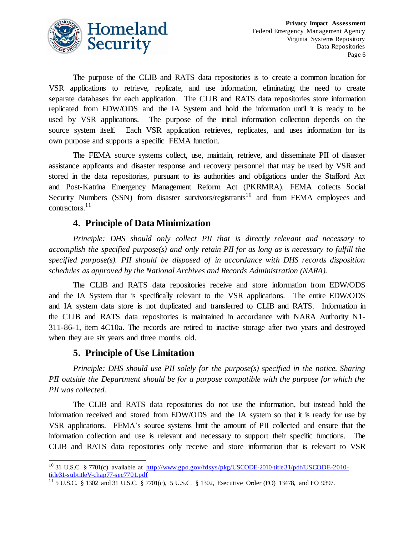

The purpose of the CLIB and RATS data repositories is to create a common location for VSR applications to retrieve, replicate, and use information, eliminating the need to create separate databases for each application. The CLIB and RATS data repositories store information replicated from EDW/ODS and the IA System and hold the information until it is ready to be used by VSR applications. The purpose of the initial information collection depends on the source system itself. Each VSR application retrieves, replicates, and uses information for its own purpose and supports a specific FEMA function.

The FEMA source systems collect, use, maintain, retrieve, and disseminate PII of disaster assistance applicants and disaster response and recovery personnel that may be used by VSR and stored in the data repositories, pursuant to its authorities and obligations under the Stafford Act and Post-Katrina Emergency Management Reform Act (PKRMRA). FEMA collects Social Security Numbers (SSN) from disaster survivors/registrants<sup>10</sup> and from FEMA employees and contractors. 11

#### **4. Principle of Data Minimization**

*Principle: DHS should only collect PII that is directly relevant and necessary to accomplish the specified purpose(s) and only retain PII for as long as is necessary to fulfill the specified purpose(s). PII should be disposed of in accordance with DHS records disposition schedules as approved by the National Archives and Records Administration (NARA).*

The CLIB and RATS data repositories receive and store information from EDW/ODS and the IA System that is specifically relevant to the VSR applications. The entire EDW/ODS and IA system data store is not duplicated and transferred to CLIB and RATS. Information in the CLIB and RATS data repositories is maintained in accordance with NARA Authority N1- 311-86-1, item 4C10a. The records are retired to inactive storage after two years and destroyed when they are six years and three months old.

#### **5. Principle of Use Limitation**

l

*Principle: DHS should use PII solely for the purpose(s) specified in the notice. Sharing PII outside the Department should be for a purpose compatible with the purpose for which the PII was collected.*

The CLIB and RATS data repositories do not use the information, but instead hold the information received and stored from EDW/ODS and the IA system so that it is ready for use by VSR applications. FEMA's source systems limit the amount of PII collected and ensure that the information collection and use is relevant and necessary to support their specific functions. The CLIB and RATS data repositories only receive and store information that is relevant to VSR

<sup>&</sup>lt;sup>10</sup> 31 U.S.C. § 7701(c) available at <u>[http://www.gpo.gov/fdsys/pkg/USCODE-2010-title31/pdf/USCODE-2010-](http://www.gpo.gov/fdsys/pkg/USCODE-2010-title31/pdf/USCODE-2010-title31-subtitleV-chap77-sec7701.pdf)</u> [title31-subtitleV-chap77-sec7701.pdf](http://www.gpo.gov/fdsys/pkg/USCODE-2010-title31/pdf/USCODE-2010-title31-subtitleV-chap77-sec7701.pdf)

 $11\overline{)5}$  U.S.C. § 1302 and 31 U.S.C. § 7701(c), 5 U.S.C. § 1302, Executive Order (EO) 13478, and EO 9397.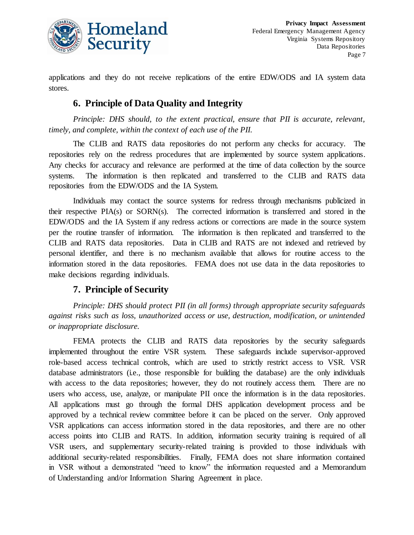

applications and they do not receive replications of the entire EDW/ODS and IA system data stores.

## **6. Principle of Data Quality and Integrity**

*Principle: DHS should, to the extent practical, ensure that PII is accurate, relevant, timely, and complete, within the context of each use of the PII.*

The CLIB and RATS data repositories do not perform any checks for accuracy. The repositories rely on the redress procedures that are implemented by source system applications. Any checks for accuracy and relevance are performed at the time of data collection by the source systems. The information is then replicated and transferred to the CLIB and RATS data repositories from the EDW/ODS and the IA System.

Individuals may contact the source systems for redress through mechanisms publicized in their respective PIA(s) or SORN(s). The corrected information is transferred and stored in the EDW/ODS and the IA System if any redress actions or corrections are made in the source system per the routine transfer of information. The information is then replicated and transferred to the CLIB and RATS data repositories. Data in CLIB and RATS are not indexed and retrieved by personal identifier, and there is no mechanism available that allows for routine access to the information stored in the data repositories. FEMA does not use data in the data repositories to make decisions regarding individuals.

#### **7. Principle of Security**

*Principle: DHS should protect PII (in all forms) through appropriate security safeguards against risks such as loss, unauthorized access or use, destruction, modification, or unintended or inappropriate disclosure.*

FEMA protects the CLIB and RATS data repositories by the security safeguards implemented throughout the entire VSR system. These safeguards include supervisor-approved role-based access technical controls, which are used to strictly restrict access to VSR. VSR database administrators (i.e., those responsible for building the database) are the only individuals with access to the data repositories; however, they do not routinely access them. There are no users who access, use, analyze, or manipulate PII once the information is in the data repositories. All applications must go through the formal DHS application development process and be approved by a technical review committee before it can be placed on the server. Only approved VSR applications can access information stored in the data repositories, and there are no other access points into CLIB and RATS. In addition, information security training is required of all VSR users, and supplementary security-related training is provided to those individuals with additional security-related responsibilities. Finally, FEMA does not share information contained in VSR without a demonstrated "need to know" the information requested and a Memorandum of Understanding and/or Information Sharing Agreement in place.